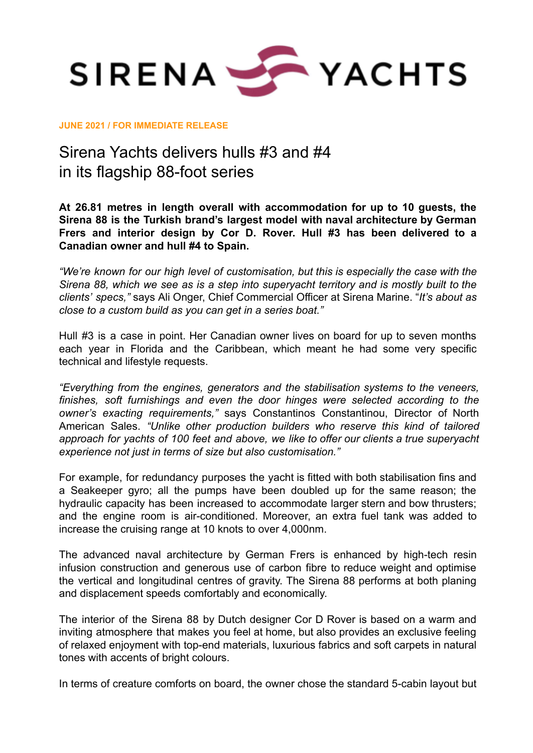

**JUNE 2021 / FOR IMMEDIATE RELEASE**

## Sirena Yachts delivers hulls #3 and #4 in its flagship 88-foot series

**At 26.81 metres in length overall with accommodation for up to 10 guests, the Sirena 88 is the Turkish brand's largest model with naval architecture by German Frers and interior design by Cor D. Rover. Hull #3 has been delivered to a Canadian owner and hull #4 to Spain.**

*"We're known for our high level of customisation, but this is especially the case with the Sirena 88, which we see as is a step into superyacht territory and is mostly built to the clients' specs,"* says Ali Onger, Chief Commercial Officer at Sirena Marine. "*It's about as close to a custom build as you can get in a series boat."*

Hull #3 is a case in point. Her Canadian owner lives on board for up to seven months each year in Florida and the Caribbean, which meant he had some very specific technical and lifestyle requests.

*"Everything from the engines, generators and the stabilisation systems to the veneers, finishes, soft furnishings and even the door hinges were selected according to the owner's exacting requirements,"* says Constantinos Constantinou, Director of North American Sales. *"Unlike other production builders who reserve this kind of tailored approach for yachts of 100 feet and above, we like to offer our clients a true superyacht experience not just in terms of size but also customisation."*

For example, for redundancy purposes the yacht is fitted with both stabilisation fins and a Seakeeper gyro; all the pumps have been doubled up for the same reason; the hydraulic capacity has been increased to accommodate larger stern and bow thrusters; and the engine room is air-conditioned. Moreover, an extra fuel tank was added to increase the cruising range at 10 knots to over 4,000nm.

The advanced naval architecture by German Frers is enhanced by high-tech resin infusion construction and generous use of carbon fibre to reduce weight and optimise the vertical and longitudinal centres of gravity. The Sirena 88 performs at both planing and displacement speeds comfortably and economically.

The interior of the Sirena 88 by Dutch designer Cor D Rover is based on a warm and inviting atmosphere that makes you feel at home, but also provides an exclusive feeling of relaxed enjoyment with top-end materials, luxurious fabrics and soft carpets in natural tones with accents of bright colours.

In terms of creature comforts on board, the owner chose the standard 5-cabin layout but